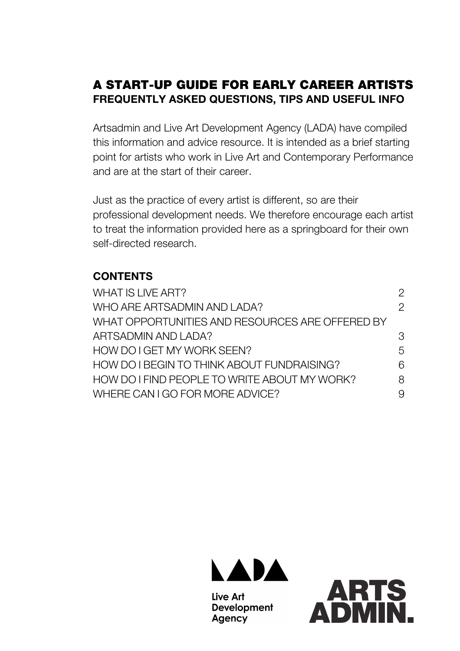# A START-UP GUIDE FOR EARLY CAREER ARTISTS **FREQUENTLY ASKED QUESTIONS, TIPS AND USEFUL INFO**

Artsadmin and Live Art Development Agency (LADA) have compiled this information and advice resource. It is intended as a brief starting point for artists who work in Live Art and Contemporary Performance and are at the start of their career.

Just as the practice of every artist is different, so are their professional development needs. We therefore encourage each artist to treat the information provided here as a springboard for their own self-directed research.

# **CONTENTS**

| WHAT IS LIVE ART?                               | 2             |
|-------------------------------------------------|---------------|
| WHO ARE ARTSADMIN AND LADA?                     | $\mathcal{P}$ |
| WHAT OPPORTUNITIES AND RESOURCES ARE OFFERED BY |               |
| ARTSADMIN AND LADA?                             | 3             |
| HOW DO I GET MY WORK SEEN?                      | 5             |
| HOW DO I BEGIN TO THINK ABOUT FUNDRAISING?      | 6             |
| HOW DO I FIND PEOPLE TO WRITE ABOUT MY WORK?    | 8             |
| WHERE CAN I GO FOR MORE ADVICE?                 | 9             |
|                                                 |               |



Live Art **Development** Agency

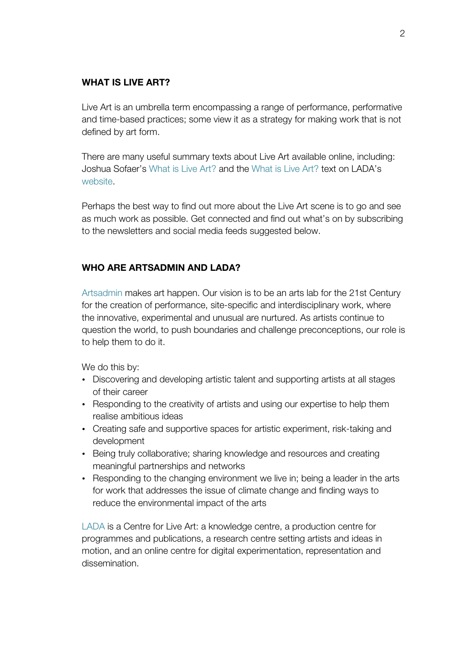### **WHAT IS LIVE ART?**

Live Art is an umbrella term encompassing a range of performance, performative and time-based practices; some view it as a strategy for making work that is not defined by art form.

There are many useful summary texts about Live Art available online, including: Joshua Sofaer's What is Live Art? and the What is Live Art? text on LADA's website.

Perhaps the best way to find out more about the Live Art scene is to go and see as much work as possible. Get connected and find out what's on by subscribing to the newsletters and social media feeds suggested below.

## **WHO ARE ARTSADMIN AND LADA?**

Artsadmin makes art happen. Our vision is to be an arts lab for the 21st Century for the creation of performance, site-specific and interdisciplinary work, where the innovative, experimental and unusual are nurtured. As artists continue to question the world, to push boundaries and challenge preconceptions, our role is to help them to do it.

We do this by:

- Discovering and developing artistic talent and supporting artists at all stages of their career
- Responding to the creativity of artists and using our expertise to help them realise ambitious ideas
- Creating safe and supportive spaces for artistic experiment, risk-taking and development
- Being truly collaborative; sharing knowledge and resources and creating meaningful partnerships and networks
- Responding to the changing environment we live in; being a leader in the arts for work that addresses the issue of climate change and finding ways to reduce the environmental impact of the arts

LADA is a Centre for Live Art: a knowledge centre, a production centre for programmes and publications, a research centre setting artists and ideas in motion, and an online centre for digital experimentation, representation and dissemination.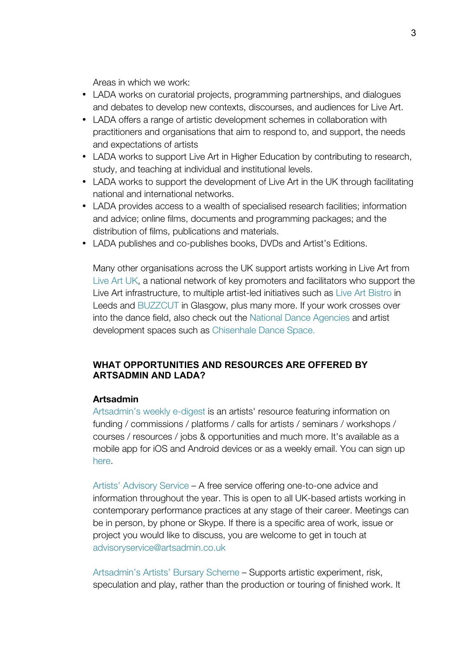Areas in which we work:

- LADA works on curatorial projects, programming partnerships, and dialogues and debates to develop new contexts, discourses, and audiences for Live Art.
- LADA offers a range of artistic development schemes in collaboration with practitioners and organisations that aim to respond to, and support, the needs and expectations of artists
- LADA works to support Live Art in Higher Education by contributing to research, study, and teaching at individual and institutional levels.
- LADA works to support the development of Live Art in the UK through facilitating national and international networks.
- LADA provides access to a wealth of specialised research facilities; information and advice; online films, documents and programming packages; and the distribution of films, publications and materials.
- LADA publishes and co-publishes books, DVDs and Artist's Editions.

Many other organisations across the UK support artists working in Live Art from Live Art UK, a national network of key promoters and facilitators who support the Live Art infrastructure, to multiple artist-led initiatives such as Live Art Bistro in Leeds and BUZZCUT in Glasgow, plus many more. If your work crosses over into the dance field, also check out the National Dance Agencies and artist development spaces such as Chisenhale Dance Space.

#### **WHAT OPPORTUNITIES AND RESOURCES ARE OFFERED BY ARTSADMIN AND LADA?**

#### **Artsadmin**

Artsadmin's weekly e-digest is an artists' resource featuring information on funding / commissions / platforms / calls for artists / seminars / workshops / courses / resources / jobs & opportunities and much more. It's available as a mobile app for iOS and Android devices or as a weekly email. You can sign up here.

Artists' Advisory Service – A free service offering one-to-one advice and information throughout the year. This is open to all UK-based artists working in contemporary performance practices at any stage of their career. Meetings can be in person, by phone or Skype. If there is a specific area of work, issue or project you would like to discuss, you are welcome to get in touch at advisoryservice@artsadmin.co.uk

Artsadmin's Artists' Bursary Scheme – Supports artistic experiment, risk, speculation and play, rather than the production or touring of finished work. It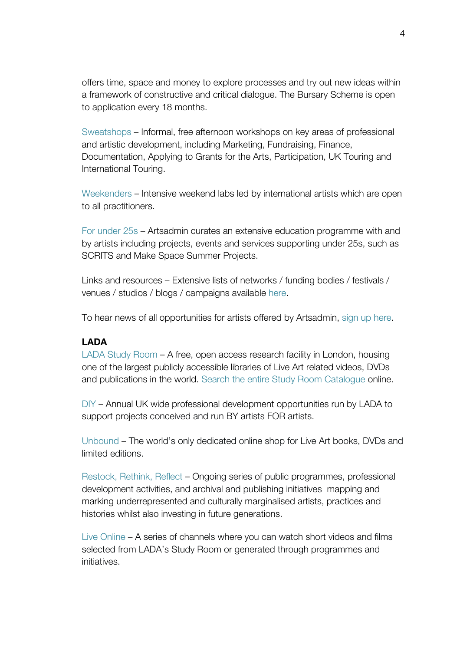offers time, space and money to explore processes and try out new ideas within a framework of constructive and critical dialogue. The Bursary Scheme is open to application every 18 months.

Sweatshops – Informal, free afternoon workshops on key areas of professional and artistic development, including Marketing, Fundraising, Finance, Documentation, Applying to Grants for the Arts, Participation, UK Touring and International Touring.

Weekenders – Intensive weekend labs led by international artists which are open to all practitioners.

For under 25s – Artsadmin curates an extensive education programme with and by artists including projects, events and services supporting under 25s, such as SCRITS and Make Space Summer Projects.

Links and resources – Extensive lists of networks / funding bodies / festivals / venues / studios / blogs / campaigns available here.

To hear news of all opportunities for artists offered by Artsadmin, sign up here.

#### **LADA**

LADA Study Room – A free, open access research facility in London, housing one of the largest publicly accessible libraries of Live Art related videos, DVDs and publications in the world. Search the entire Study Room Catalogue online.

DIY – Annual UK wide professional development opportunities run by LADA to support projects conceived and run BY artists FOR artists.

Unbound – The world's only dedicated online shop for Live Art books, DVDs and limited editions.

Restock, Rethink, Reflect – Ongoing series of public programmes, professional development activities, and archival and publishing initiatives mapping and marking underrepresented and culturally marginalised artists, practices and histories whilst also investing in future generations.

Live Online – A series of channels where you can watch short videos and films selected from LADA's Study Room or generated through programmes and initiatives.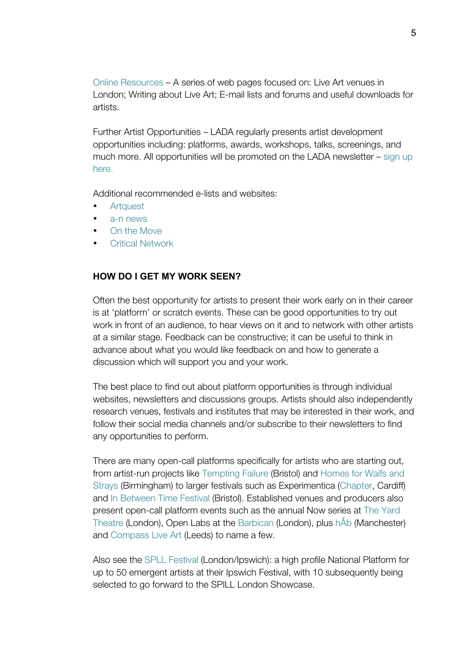Online Resources – A series of web pages focused on: Live Art venues in London; Writing about Live Art; E-mail lists and forums and useful downloads for artists.

Further Artist Opportunities – LADA regularly presents artist development opportunities including: platforms, awards, workshops, talks, screenings, and much more. All opportunities will be promoted on the LADA newsletter – sign up here.

Additional recommended e-lists and websites:

- Artquest
- a-n news
- On the Move
- Critical Network

#### **HOW DO I GET MY WORK SEEN?**

Often the best opportunity for artists to present their work early on in their career is at 'platform' or scratch events. These can be good opportunities to try out work in front of an audience, to hear views on it and to network with other artists at a similar stage. Feedback can be constructive; it can be useful to think in advance about what you would like feedback on and how to generate a discussion which will support you and your work.

The best place to find out about platform opportunities is through individual websites, newsletters and discussions groups. Artists should also independently research venues, festivals and institutes that may be interested in their work, and follow their social media channels and/or subscribe to their newsletters to find any opportunities to perform.

There are many open-call platforms specifically for artists who are starting out, from artist-run projects like Tempting Failure (Bristol) and Homes for Waifs and Strays (Birmingham) to larger festivals such as Experimentica (Chapter, Cardiff) and In Between Time Festival (Bristol). Established venues and producers also present open-call platform events such as the annual Now series at The Yard Theatre (London), Open Labs at the Barbican (London), plus hÅb (Manchester) and Compass Live Art (Leeds) to name a few.

Also see the SPLL Festival (London/Ipswich): a high profile National Platform for up to 50 emergent artists at their Ipswich Festival, with 10 subsequently being selected to go forward to the SPILL London Showcase.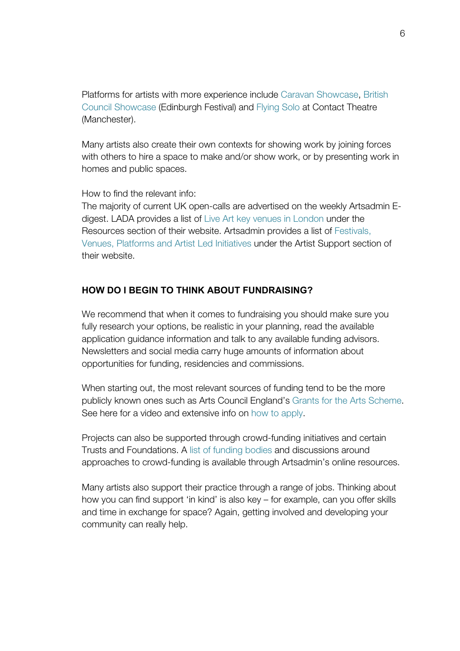Platforms for artists with more experience include Caravan Showcase, British Council Showcase (Edinburgh Festival) and Flying Solo at Contact Theatre (Manchester).

Many artists also create their own contexts for showing work by joining forces with others to hire a space to make and/or show work, or by presenting work in homes and public spaces.

How to find the relevant info:

The majority of current UK open-calls are advertised on the weekly Artsadmin Edigest. LADA provides a list of Live Art key venues in London under the Resources section of their website. Artsadmin provides a list of Festivals, Venues, Platforms and Artist Led Initiatives under the Artist Support section of their website.

### **HOW DO I BEGIN TO THINK ABOUT FUNDRAISING?**

We recommend that when it comes to fundraising you should make sure you fully research your options, be realistic in your planning, read the available application guidance information and talk to any available funding advisors. Newsletters and social media carry huge amounts of information about opportunities for funding, residencies and commissions.

When starting out, the most relevant sources of funding tend to be the more publicly known ones such as Arts Council England's Grants for the Arts Scheme. See here for a video and extensive info on how to apply.

Projects can also be supported through crowd-funding initiatives and certain Trusts and Foundations. A list of funding bodies and discussions around approaches to crowd-funding is available through Artsadmin's online resources.

Many artists also support their practice through a range of jobs. Thinking about how you can find support 'in kind' is also key – for example, can you offer skills and time in exchange for space? Again, getting involved and developing your community can really help.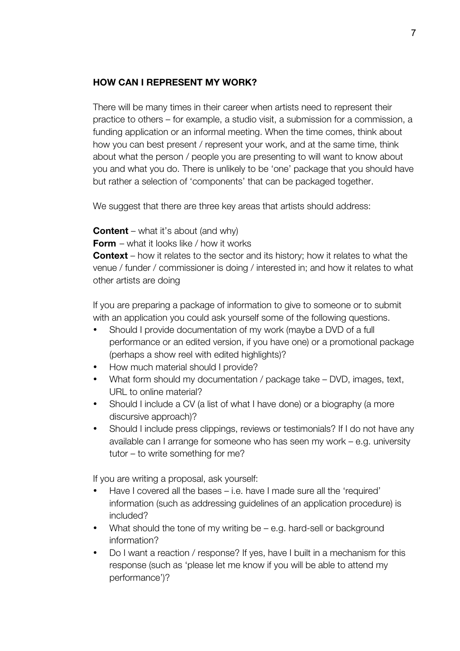### **HOW CAN I REPRESENT MY WORK?**

There will be many times in their career when artists need to represent their practice to others – for example, a studio visit, a submission for a commission, a funding application or an informal meeting. When the time comes, think about how you can best present / represent your work, and at the same time, think about what the person / people you are presenting to will want to know about you and what you do. There is unlikely to be 'one' package that you should have but rather a selection of 'components' that can be packaged together.

We suggest that there are three key areas that artists should address:

**Content** – what it's about (and why)

**Form** – what it looks like / how it works

**Context** – how it relates to the sector and its history; how it relates to what the venue / funder / commissioner is doing / interested in; and how it relates to what other artists are doing

If you are preparing a package of information to give to someone or to submit with an application you could ask yourself some of the following questions.

- Should I provide documentation of my work (maybe a DVD of a full performance or an edited version, if you have one) or a promotional package (perhaps a show reel with edited highlights)?
- How much material should I provide?
- What form should my documentation / package take DVD, images, text, URL to online material?
- Should I include a CV (a list of what I have done) or a biography (a more discursive approach)?
- Should I include press clippings, reviews or testimonials? If I do not have any available can I arrange for someone who has seen my work – e.g. university tutor – to write something for me?

If you are writing a proposal, ask yourself:

- Have I covered all the bases i.e. have I made sure all the 'required' information (such as addressing guidelines of an application procedure) is included?
- What should the tone of my writing be e.g. hard-sell or background information?
- Do I want a reaction / response? If yes, have I built in a mechanism for this response (such as 'please let me know if you will be able to attend my performance')?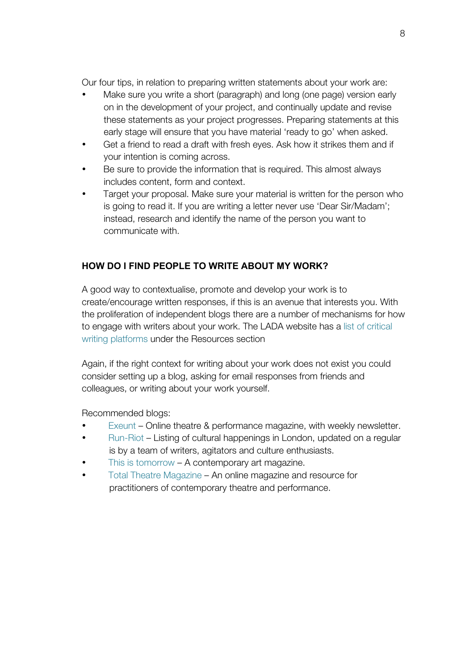Our four tips, in relation to preparing written statements about your work are:

- Make sure you write a short (paragraph) and long (one page) version early on in the development of your project, and continually update and revise these statements as your project progresses. Preparing statements at this early stage will ensure that you have material 'ready to go' when asked.
- Get a friend to read a draft with fresh eyes. Ask how it strikes them and if your intention is coming across.
- Be sure to provide the information that is required. This almost always includes content, form and context.
- Target your proposal. Make sure your material is written for the person who is going to read it. If you are writing a letter never use 'Dear Sir/Madam'; instead, research and identify the name of the person you want to communicate with.

# **HOW DO I FIND PEOPLE TO WRITE ABOUT MY WORK?**

A good way to contextualise, promote and develop your work is to create/encourage written responses, if this is an avenue that interests you. With the proliferation of independent blogs there are a number of mechanisms for how to engage with writers about your work. The LADA website has a list of critical writing platforms under the Resources section

Again, if the right context for writing about your work does not exist you could consider setting up a blog, asking for email responses from friends and colleagues, or writing about your work yourself.

Recommended blogs:

- Exeunt Online theatre & performance magazine, with weekly newsletter.
- Run-Riot Listing of cultural happenings in London, updated on a regular is by a team of writers, agitators and culture enthusiasts.
- This is tomorrow  $A$  contemporary art magazine.
- Total Theatre Magazine An online magazine and resource for practitioners of contemporary theatre and performance.